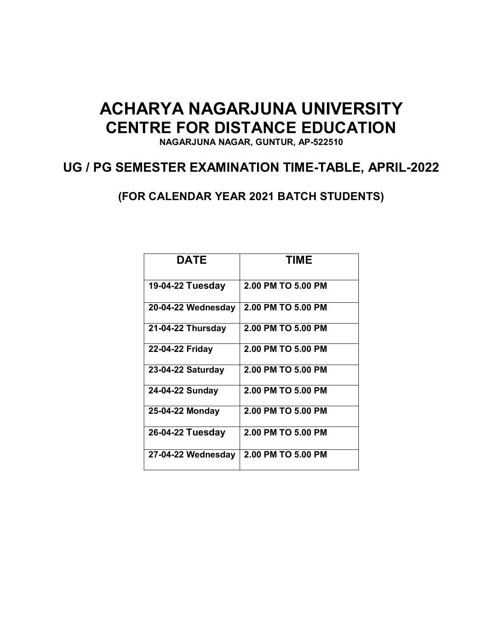# **ACHARYA NAGARJUNA UNIVERSITY CENTRE FOR DISTANCE EDUCATION**

**NAGARJUNA NAGAR, GUNTUR, AP-522510** 

# **UG / PG SEMESTER EXAMINATION TIME-TABLE, APRIL-2022**

**(FOR CALENDAR YEAR 2021 BATCH STUDENTS)**

| <b>DATE</b>        | <b>TIME</b>        |
|--------------------|--------------------|
| 19-04-22 Tuesday   | 2.00 PM TO 5.00 PM |
| 20-04-22 Wednesday | 2.00 PM TO 5.00 PM |
| 21-04-22 Thursday  | 2.00 PM TO 5.00 PM |
| 22-04-22 Friday    | 2.00 PM TO 5.00 PM |
| 23-04-22 Saturday  | 2.00 PM TO 5.00 PM |
| 24-04-22 Sunday    | 2.00 PM TO 5.00 PM |
| 25-04-22 Monday    | 2.00 PM TO 5.00 PM |
| 26-04-22 Tuesday   | 2.00 PM TO 5.00 PM |
| 27-04-22 Wednesday | 2.00 PM TO 5.00 PM |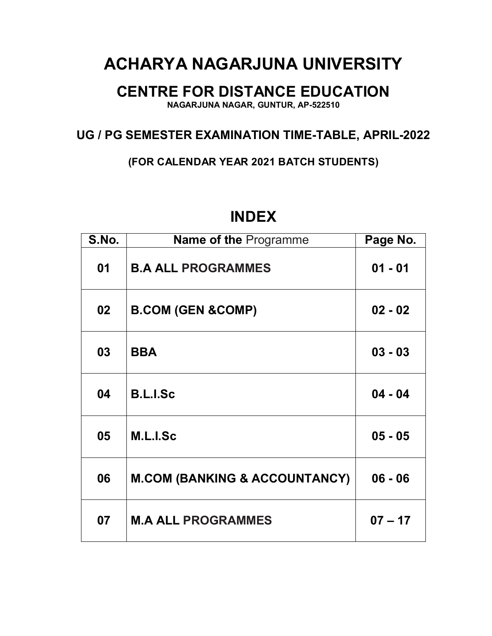# **ACHARYA NAGARJUNA UNIVERSITY**

# **CENTRE FOR DISTANCE EDUCATION**

**NAGARJUNA NAGAR, GUNTUR, AP-522510** 

## **UG / PG SEMESTER EXAMINATION TIME-TABLE, APRIL-2022**

**(FOR CALENDAR YEAR 2021 BATCH STUDENTS)**

| S.No.           | <b>Name of the Programme</b>             | Page No.  |
|-----------------|------------------------------------------|-----------|
| 01              | <b>B.A ALL PROGRAMMES</b>                | $01 - 01$ |
| 02 <sub>2</sub> | <b>B.COM (GEN &amp;COMP)</b>             | $02 - 02$ |
| 03              | <b>BBA</b>                               | $03 - 03$ |
| 04              | <b>B.L.I.Sc</b>                          | $04 - 04$ |
| 05              | M.L.I.Sc                                 | $05 - 05$ |
| 06              | <b>M.COM (BANKING &amp; ACCOUNTANCY)</b> | $06 - 06$ |
| 07              | <b>M.A ALL PROGRAMMES</b>                | $07 - 17$ |

# **INDEX**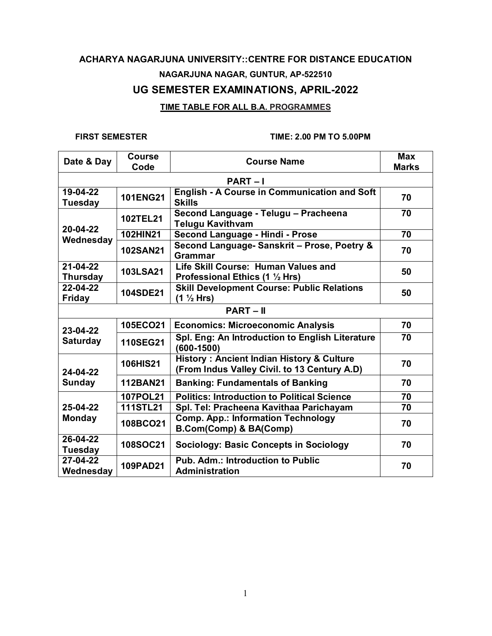### **TIME TABLE FOR ALL B.A. PROGRAMMES**

| Date & Day                        | <b>Course</b><br>Code | <b>Course Name</b>                                                                                   | <b>Max</b><br><b>Marks</b> |
|-----------------------------------|-----------------------|------------------------------------------------------------------------------------------------------|----------------------------|
|                                   |                       | <b>PART-I</b>                                                                                        |                            |
| 19-04-22<br><b>Tuesday</b>        | <b>101ENG21</b>       | <b>English - A Course in Communication and Soft</b><br><b>Skills</b>                                 | 70                         |
| 20-04-22                          | <b>102TEL21</b>       | Second Language - Telugu - Pracheena<br><b>Telugu Kavithvam</b>                                      | $\overline{70}$            |
| Wednesday                         | <b>102HIN21</b>       | Second Language - Hindi - Prose                                                                      | 70                         |
|                                   | <b>102SAN21</b>       | Second Language- Sanskrit - Prose, Poetry &<br><b>Grammar</b>                                        | 70                         |
| $21 - 04 - 22$<br><b>Thursday</b> | <b>103LSA21</b>       | Life Skill Course: Human Values and<br>Professional Ethics (1 1/2 Hrs)                               | 50                         |
| 22-04-22<br><b>Friday</b>         | <b>104SDE21</b>       | <b>Skill Development Course: Public Relations</b><br>(1 ½ Hrs)                                       | 50                         |
|                                   |                       | <b>PART-II</b>                                                                                       |                            |
| 23-04-22                          | 105ECO21              | <b>Economics: Microeconomic Analysis</b>                                                             | 70                         |
| <b>Saturday</b>                   | <b>110SEG21</b>       | Spl. Eng: An Introduction to English Literature<br>$(600 - 1500)$                                    | 70                         |
| 24-04-22                          | <b>106HIS21</b>       | <b>History: Ancient Indian History &amp; Culture</b><br>(From Indus Valley Civil. to 13 Century A.D) | 70                         |
| <b>Sunday</b>                     | <b>112BAN21</b>       | <b>Banking: Fundamentals of Banking</b>                                                              | 70                         |
|                                   | 107POL21              | <b>Politics: Introduction to Political Science</b>                                                   | 70                         |
| 25-04-22                          | 111STL21              | Spl. Tel: Pracheena Kavithaa Parichayam                                                              | 70                         |
| <b>Monday</b>                     | 108BCO21              | <b>Comp. App.: Information Technology</b><br><b>B.Com(Comp) &amp; BA(Comp)</b>                       | 70                         |
| 26-04-22<br><b>Tuesday</b>        | <b>108SOC21</b>       | <b>Sociology: Basic Concepts in Sociology</b>                                                        | 70                         |
| 27-04-22<br>Wednesday             | 109PAD21              | <b>Pub. Adm.: Introduction to Public</b><br><b>Administration</b>                                    | 70                         |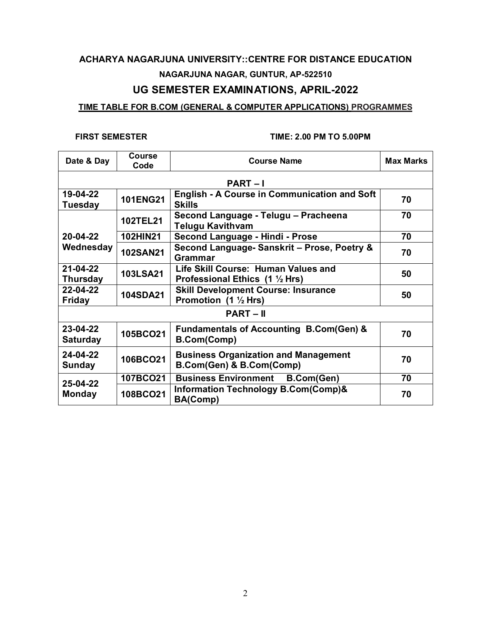# **ACHARYA NAGARJUNA UNIVERSITY::CENTRE FOR DISTANCE EDUCATION NAGARJUNA NAGAR, GUNTUR, AP-522510**

## **UG SEMESTER EXAMINATIONS, APRIL-2022**

### **TIME TABLE FOR B.COM (GENERAL & COMPUTER APPLICATIONS) PROGRAMMES**

| Date & Day                  | <b>Course</b><br>Code | <b>Course Name</b>                                                      | <b>Max Marks</b> |
|-----------------------------|-----------------------|-------------------------------------------------------------------------|------------------|
|                             |                       | <b>PART-I</b>                                                           |                  |
| 19-04-22<br><b>Tuesday</b>  | <b>101ENG21</b>       | English - A Course in Communication and Soft<br><b>Skills</b>           | 70               |
|                             | <b>102TEL21</b>       | Second Language - Telugu - Pracheena<br><b>Telugu Kavithvam</b>         | 70               |
| 20-04-22                    | <b>102HIN21</b>       | Second Language - Hindi - Prose                                         | 70               |
| Wednesday                   | <b>102SAN21</b>       | Second Language- Sanskrit - Prose, Poetry &<br><b>Grammar</b>           | 70               |
| 21-04-22<br><b>Thursday</b> | <b>103LSA21</b>       | Life Skill Course: Human Values and<br>Professional Ethics (1 1/2 Hrs)  | 50               |
| 22-04-22<br><b>Friday</b>   | <b>104SDA21</b>       | <b>Skill Development Course: Insurance</b><br>Promotion (1 1/2 Hrs)     | 50               |
|                             |                       | $PART - II$                                                             |                  |
| 23-04-22<br><b>Saturday</b> | 105BCO21              | <b>Fundamentals of Accounting B.Com(Gen) &amp;</b><br>B.Com(Comp)       | 70               |
| 24-04-22<br><b>Sunday</b>   | 106BCO21              | <b>Business Organization and Management</b><br>B.Com(Gen) & B.Com(Comp) | 70               |
|                             | 107BCO21              | <b>Business Environment</b><br><b>B.Com(Gen)</b>                        | 70               |
| 25-04-22<br><b>Monday</b>   | 108BCO21              | <b>Information Technology B.Com(Comp)&amp;</b><br>BA(Comp)              | 70               |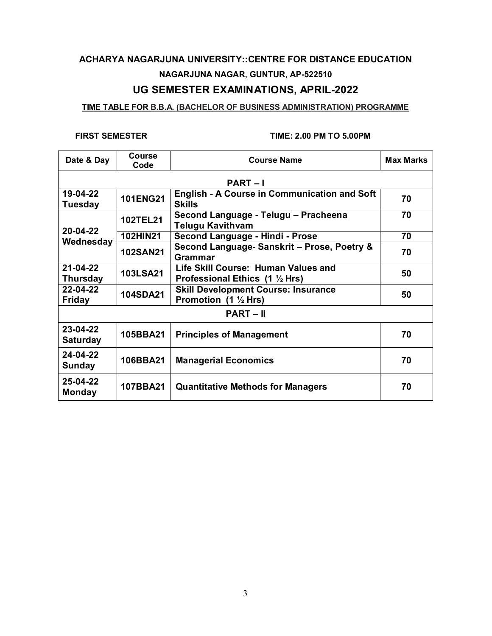# **ACHARYA NAGARJUNA UNIVERSITY::CENTRE FOR DISTANCE EDUCATION NAGARJUNA NAGAR, GUNTUR, AP-522510**

## **UG SEMESTER EXAMINATIONS, APRIL-2022**

### **TIME TABLE FOR B.B.A. (BACHELOR OF BUSINESS ADMINISTRATION) PROGRAMME**

| Date & Day                  | Course<br>Code  | <b>Course Name</b>                                                            | <b>Max Marks</b> |
|-----------------------------|-----------------|-------------------------------------------------------------------------------|------------------|
|                             |                 | <b>PART-I</b>                                                                 |                  |
| 19-04-22<br><b>Tuesday</b>  | <b>101ENG21</b> | <b>English - A Course in Communication and Soft</b><br><b>Skills</b>          | 70               |
|                             | <b>102TEL21</b> | Second Language - Telugu - Pracheena<br><b>Telugu Kavithvam</b>               | 70               |
| 20-04-22                    | <b>102HIN21</b> | Second Language - Hindi - Prose                                               | 70               |
| Wednesday                   | <b>102SAN21</b> | Second Language- Sanskrit - Prose, Poetry &<br>Grammar                        | 70               |
| 21-04-22<br><b>Thursday</b> | <b>103LSA21</b> | Life Skill Course: Human Values and<br>Professional Ethics (1 1/2 Hrs)        | 50               |
| 22-04-22<br><b>Friday</b>   | <b>104SDA21</b> | <b>Skill Development Course: Insurance</b><br>Promotion $(1 \frac{1}{2} Hrs)$ | 50               |
|                             |                 | $PART - II$                                                                   |                  |
| 23-04-22<br><b>Saturday</b> | 105BBA21        | <b>Principles of Management</b>                                               | 70               |
| 24-04-22<br>Sunday          | 106BBA21        | <b>Managerial Economics</b>                                                   | 70               |
| 25-04-22<br><b>Monday</b>   | 107BBA21        | <b>Quantitative Methods for Managers</b>                                      | 70               |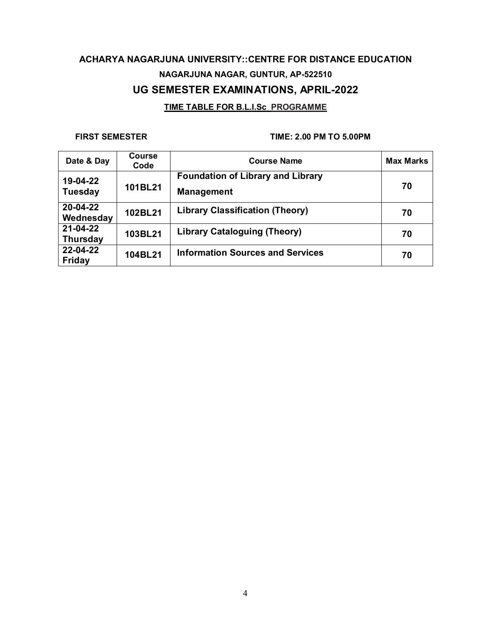### **TIME TABLE FOR B.L.I.Sc PROGRAMME**

| Date & Day                  | Course<br>Code | <b>Course Name</b>                                            | <b>Max Marks</b> |
|-----------------------------|----------------|---------------------------------------------------------------|------------------|
| 19-04-22<br><b>Tuesday</b>  | 101BL21        | <b>Foundation of Library and Library</b><br><b>Management</b> | 70               |
| 20-04-22<br>Wednesday       | 102BL21        | <b>Library Classification (Theory)</b>                        | 70               |
| 21-04-22<br><b>Thursday</b> | 103BL21        | <b>Library Cataloguing (Theory)</b>                           | 70               |
| 22-04-22<br><b>Friday</b>   | 104BL21        | <b>Information Sources and Services</b>                       | 70               |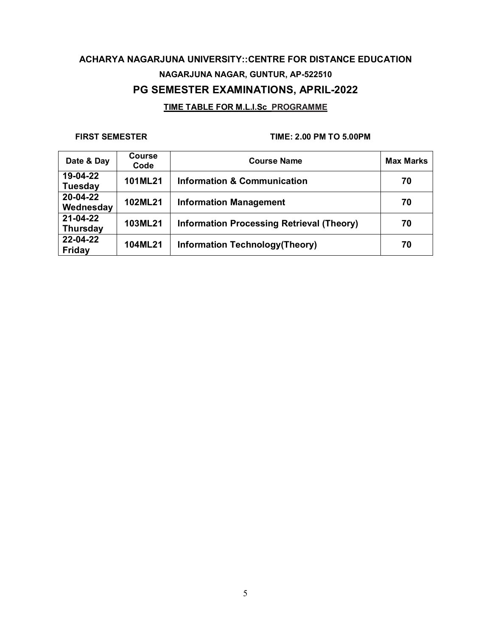### **TIME TABLE FOR M.L.I.Sc PROGRAMME**

| Date & Day                  | <b>Course</b><br>Code | <b>Course Name</b>                               | <b>Max Marks</b> |
|-----------------------------|-----------------------|--------------------------------------------------|------------------|
| 19-04-22<br><b>Tuesday</b>  | 101ML21               | <b>Information &amp; Communication</b>           | 70               |
| 20-04-22<br>Wednesday       | 102ML21               | <b>Information Management</b>                    | 70               |
| 21-04-22<br><b>Thursday</b> | 103ML21               | <b>Information Processing Retrieval (Theory)</b> | 70               |
| 22-04-22<br>Friday          | 104ML21               | Information Technology (Theory)                  | 70               |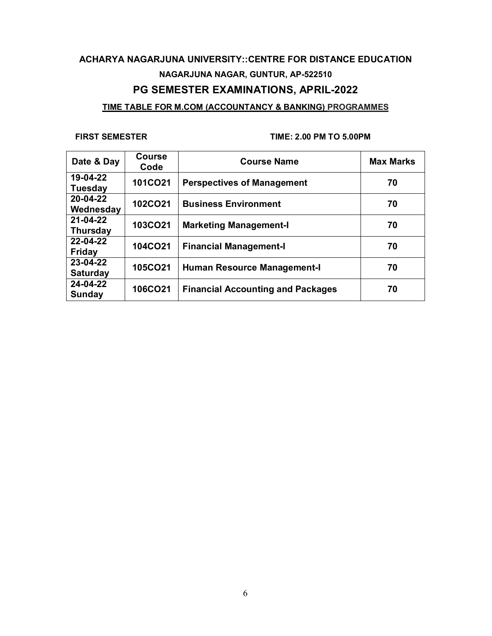### **TIME TABLE FOR M.COM (ACCOUNTANCY & BANKING) PROGRAMMES**

| Date & Day                  | <b>Course</b><br>Code | <b>Course Name</b>                       | <b>Max Marks</b> |
|-----------------------------|-----------------------|------------------------------------------|------------------|
| 19-04-22<br><b>Tuesday</b>  | 101CO21               | <b>Perspectives of Management</b>        | 70               |
| 20-04-22<br>Wednesday       | 102CO21               | <b>Business Environment</b>              | 70               |
| 21-04-22<br><b>Thursday</b> | 103CO21               | <b>Marketing Management-I</b>            | 70               |
| 22-04-22<br><b>Friday</b>   | 104CO21               | <b>Financial Management-I</b>            | 70               |
| 23-04-22<br><b>Saturday</b> | 105CO21               | <b>Human Resource Management-I</b>       | 70               |
| 24-04-22<br>Sunday          | 106CO21               | <b>Financial Accounting and Packages</b> | 70               |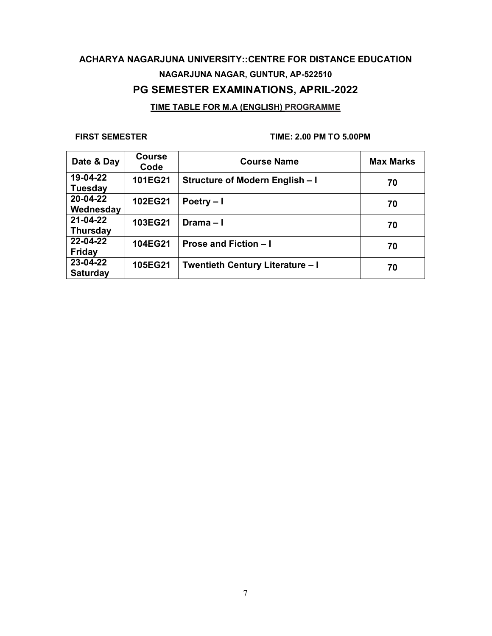## **ACHARYA NAGARJUNA UNIVERSITY::CENTRE FOR DISTANCE EDUCATION NAGARJUNA NAGAR, GUNTUR, AP-522510 PG SEMESTER EXAMINATIONS, APRIL-2022 TIME TABLE FOR M.A (ENGLISH) PROGRAMME**

| Date & Day                  | <b>Course</b><br>Code | <b>Course Name</b>                      | <b>Max Marks</b> |
|-----------------------------|-----------------------|-----------------------------------------|------------------|
| 19-04-22<br><b>Tuesday</b>  | 101EG21               | Structure of Modern English - I         | 70               |
| 20-04-22<br>Wednesday       | 102EG21               | Poetry $-1$                             | 70               |
| 21-04-22<br><b>Thursday</b> | 103EG21               | Drama $-1$                              | 70               |
| 22-04-22<br><b>Friday</b>   | 104EG21               | <b>Prose and Fiction - I</b>            | 70               |
| 23-04-22<br><b>Saturday</b> | 105EG21               | <b>Twentieth Century Literature - I</b> | 70               |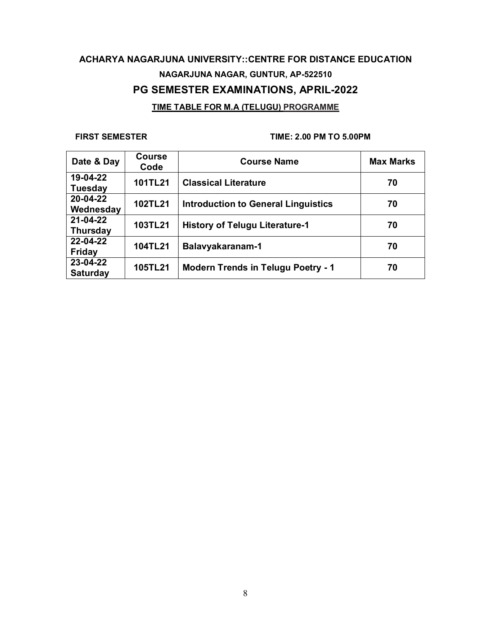## **ACHARYA NAGARJUNA UNIVERSITY::CENTRE FOR DISTANCE EDUCATION NAGARJUNA NAGAR, GUNTUR, AP-522510 PG SEMESTER EXAMINATIONS, APRIL-2022 TIME TABLE FOR M.A (TELUGU) PROGRAMME**

| Date & Day                  | <b>Course</b><br>Code | <b>Course Name</b>                         | <b>Max Marks</b> |
|-----------------------------|-----------------------|--------------------------------------------|------------------|
| 19-04-22<br><b>Tuesday</b>  | 101TL21               | <b>Classical Literature</b>                | 70               |
| 20-04-22<br>Wednesday       | 102TL21               | <b>Introduction to General Linguistics</b> | 70               |
| 21-04-22<br><b>Thursday</b> | 103TL21               | <b>History of Telugu Literature-1</b>      | 70               |
| 22-04-22<br><b>Friday</b>   | 104TL21               | Balavyakaranam-1                           | 70               |
| 23-04-22<br><b>Saturday</b> | 105TL21               | <b>Modern Trends in Telugu Poetry - 1</b>  | 70               |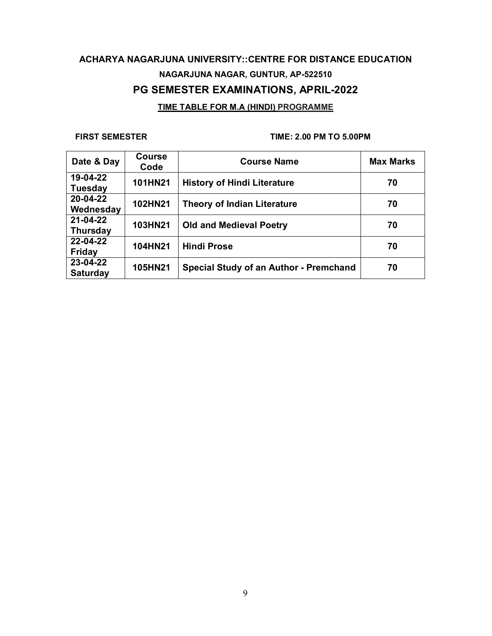## **ACHARYA NAGARJUNA UNIVERSITY::CENTRE FOR DISTANCE EDUCATION NAGARJUNA NAGAR, GUNTUR, AP-522510 PG SEMESTER EXAMINATIONS, APRIL-2022 TIME TABLE FOR M.A (HINDI) PROGRAMME**

| Date & Day                  | <b>Course</b><br>Code | <b>Course Name</b>                            | <b>Max Marks</b> |
|-----------------------------|-----------------------|-----------------------------------------------|------------------|
| 19-04-22<br><b>Tuesday</b>  | 101HN21               | <b>History of Hindi Literature</b>            | 70               |
| 20-04-22<br>Wednesday       | 102HN21               | <b>Theory of Indian Literature</b>            | 70               |
| 21-04-22<br><b>Thursday</b> | 103HN21               | <b>Old and Medieval Poetry</b>                | 70               |
| 22-04-22<br><b>Friday</b>   | 104HN21               | <b>Hindi Prose</b>                            | 70               |
| 23-04-22<br><b>Saturday</b> | 105HN21               | <b>Special Study of an Author - Premchand</b> | 70               |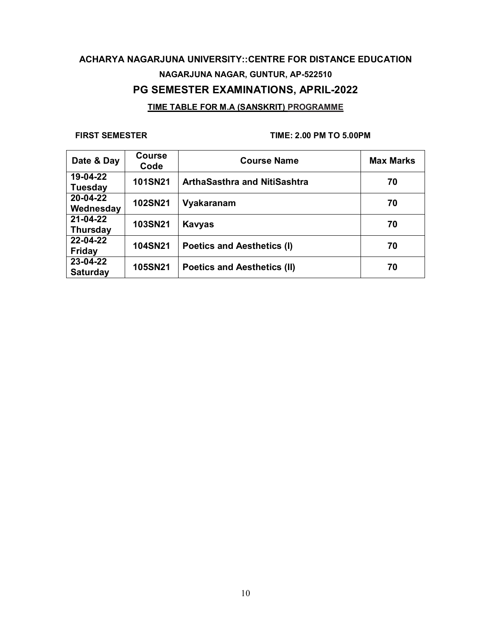## **ACHARYA NAGARJUNA UNIVERSITY::CENTRE FOR DISTANCE EDUCATION NAGARJUNA NAGAR, GUNTUR, AP-522510 PG SEMESTER EXAMINATIONS, APRIL-2022 TIME TABLE FOR M.A (SANSKRIT) PROGRAMME**

| Date & Day                  | <b>Course</b><br>Code | <b>Course Name</b>                  | <b>Max Marks</b> |
|-----------------------------|-----------------------|-------------------------------------|------------------|
| 19-04-22<br><b>Tuesday</b>  | <b>101SN21</b>        | <b>ArthaSasthra and NitiSashtra</b> | 70               |
| 20-04-22<br>Wednesday       | 102SN21               | Vyakaranam                          | 70               |
| 21-04-22<br><b>Thursday</b> | 103SN21               | <b>Kavyas</b>                       | 70               |
| 22-04-22<br><b>Friday</b>   | <b>104SN21</b>        | <b>Poetics and Aesthetics (I)</b>   | 70               |
| 23-04-22<br><b>Saturday</b> | 105SN21               | <b>Poetics and Aesthetics (II)</b>  | 70               |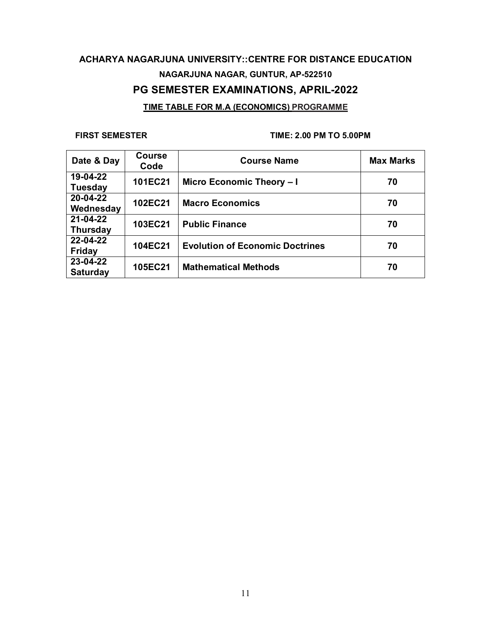## **ACHARYA NAGARJUNA UNIVERSITY::CENTRE FOR DISTANCE EDUCATION NAGARJUNA NAGAR, GUNTUR, AP-522510 PG SEMESTER EXAMINATIONS, APRIL-2022 TIME TABLE FOR M.A (ECONOMICS) PROGRAMME**

| Date & Day                  | <b>Course</b><br>Code | <b>Course Name</b>                     | <b>Max Marks</b> |
|-----------------------------|-----------------------|----------------------------------------|------------------|
| 19-04-22<br><b>Tuesday</b>  | 101EC21               | Micro Economic Theory - I              | 70               |
| 20-04-22<br>Wednesday       | 102EC21               | <b>Macro Economics</b>                 | 70               |
| 21-04-22<br><b>Thursday</b> | 103EC21               | <b>Public Finance</b>                  | 70               |
| 22-04-22<br><b>Friday</b>   | 104EC21               | <b>Evolution of Economic Doctrines</b> | 70               |
| 23-04-22<br><b>Saturday</b> | 105EC21               | <b>Mathematical Methods</b>            | 70               |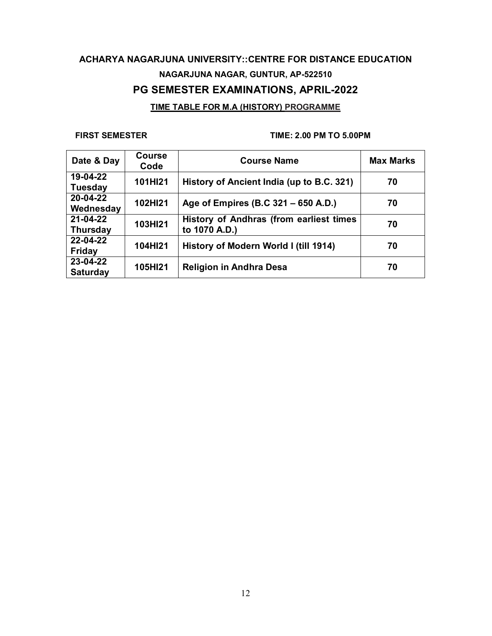## **ACHARYA NAGARJUNA UNIVERSITY::CENTRE FOR DISTANCE EDUCATION NAGARJUNA NAGAR, GUNTUR, AP-522510 PG SEMESTER EXAMINATIONS, APRIL-2022 TIME TABLE FOR M.A (HISTORY) PROGRAMME**

| Date & Day                  | <b>Course</b><br>Code | <b>Course Name</b>                                       | <b>Max Marks</b> |
|-----------------------------|-----------------------|----------------------------------------------------------|------------------|
| 19-04-22<br><b>Tuesday</b>  | 101HI21               | History of Ancient India (up to B.C. 321)                | 70               |
| 20-04-22<br>Wednesday       | 102HI21               | Age of Empires (B.C 321 – 650 A.D.)                      | 70               |
| 21-04-22<br><b>Thursday</b> | 103HI21               | History of Andhras (from earliest times<br>to 1070 A.D.) | 70               |
| 22-04-22<br><b>Friday</b>   | 104HI21               | History of Modern World I (till 1914)                    | 70               |
| 23-04-22<br><b>Saturday</b> | 105HI21               | <b>Religion in Andhra Desa</b>                           | 70               |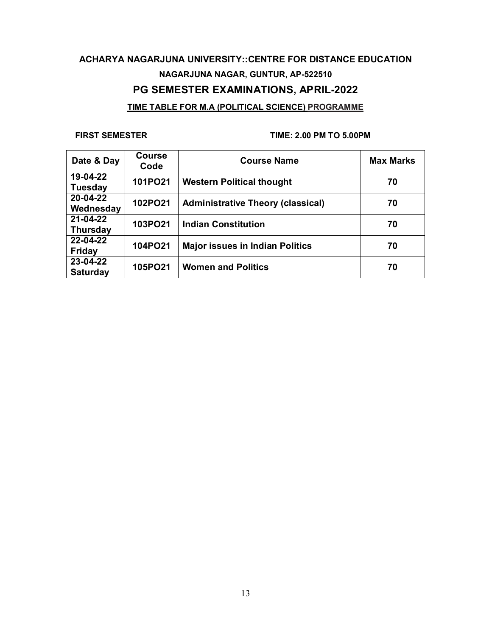## **ACHARYA NAGARJUNA UNIVERSITY::CENTRE FOR DISTANCE EDUCATION NAGARJUNA NAGAR, GUNTUR, AP-522510 PG SEMESTER EXAMINATIONS, APRIL-2022 TIME TABLE FOR M.A (POLITICAL SCIENCE) PROGRAMME**

| Date & Day                  | <b>Course</b><br>Code | <b>Course Name</b>                       | <b>Max Marks</b> |
|-----------------------------|-----------------------|------------------------------------------|------------------|
| 19-04-22<br><b>Tuesday</b>  | 101PO21               | <b>Western Political thought</b>         | 70               |
| 20-04-22<br>Wednesday       | 102PO21               | <b>Administrative Theory (classical)</b> | 70               |
| 21-04-22<br><b>Thursday</b> | 103PO21               | <b>Indian Constitution</b>               | 70               |
| 22-04-22<br><b>Friday</b>   | 104PO21               | <b>Major issues in Indian Politics</b>   | 70               |
| 23-04-22<br><b>Saturday</b> | 105PO21               | <b>Women and Politics</b>                | 70               |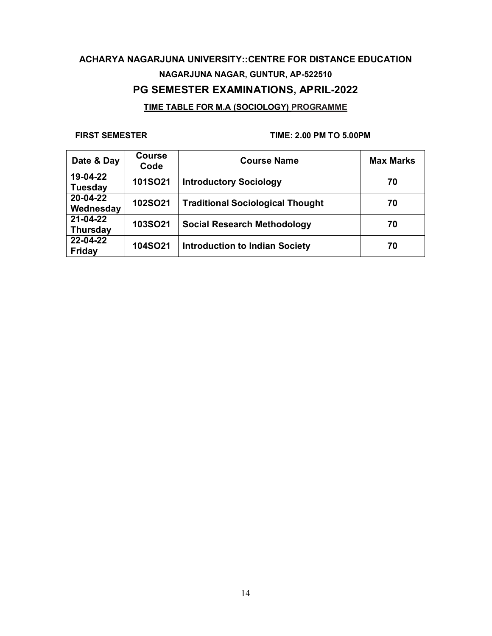## **ACHARYA NAGARJUNA UNIVERSITY::CENTRE FOR DISTANCE EDUCATION NAGARJUNA NAGAR, GUNTUR, AP-522510 PG SEMESTER EXAMINATIONS, APRIL-2022 TIME TABLE FOR M.A (SOCIOLOGY) PROGRAMME**

| Date & Day                  | <b>Course</b><br>Code | <b>Course Name</b>                      | <b>Max Marks</b> |
|-----------------------------|-----------------------|-----------------------------------------|------------------|
| 19-04-22<br><b>Tuesday</b>  | 101SO21               | <b>Introductory Sociology</b>           | 70               |
| 20-04-22<br>Wednesday       | 102SO21               | <b>Traditional Sociological Thought</b> | 70               |
| 21-04-22<br><b>Thursday</b> | <b>103SO21</b>        | <b>Social Research Methodology</b>      | 70               |
| 22-04-22<br>Friday          | 104SO21               | <b>Introduction to Indian Society</b>   | 70               |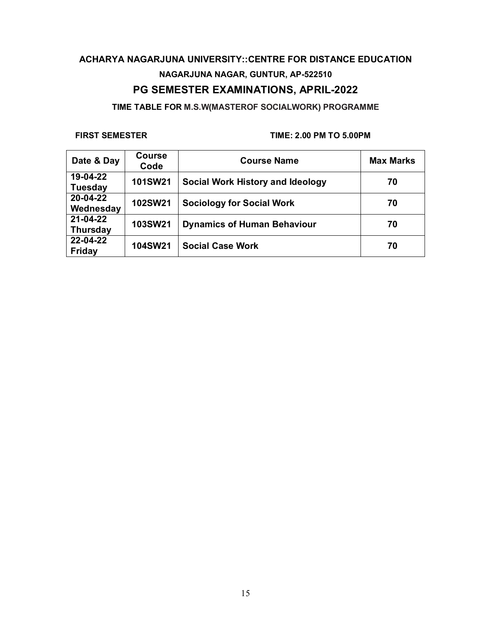**TIME TABLE FOR M.S.W(MASTEROF SOCIALWORK) PROGRAMME**

| Date & Day                  | <b>Course</b><br>Code | <b>Course Name</b>                      | <b>Max Marks</b> |
|-----------------------------|-----------------------|-----------------------------------------|------------------|
| 19-04-22<br><b>Tuesday</b>  | 101SW21               | <b>Social Work History and Ideology</b> | 70               |
| 20-04-22<br>Wednesday       | 102SW21               | <b>Sociology for Social Work</b>        | 70               |
| 21-04-22<br><b>Thursday</b> | <b>103SW21</b>        | <b>Dynamics of Human Behaviour</b>      | 70               |
| 22-04-22<br>Friday          | 104SW21               | <b>Social Case Work</b>                 | 70               |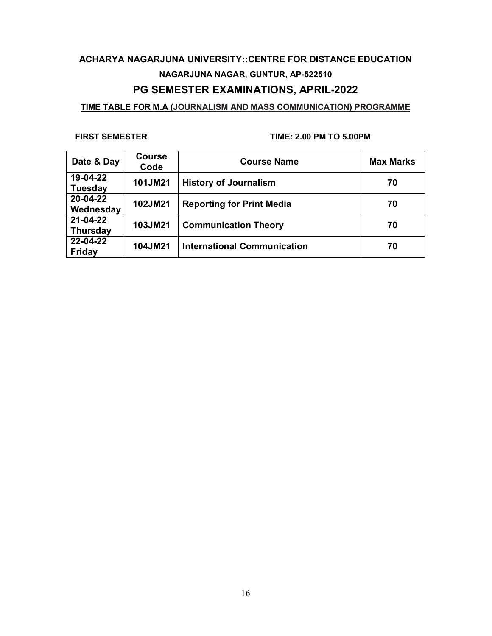### **TIME TABLE FOR M.A (JOURNALISM AND MASS COMMUNICATION) PROGRAMME**

| Date & Day                  | <b>Course</b><br>Code | <b>Course Name</b>                 | <b>Max Marks</b> |
|-----------------------------|-----------------------|------------------------------------|------------------|
| 19-04-22<br><b>Tuesday</b>  | 101JM21               | <b>History of Journalism</b>       | 70               |
| 20-04-22<br>Wednesday       | 102JM21               | <b>Reporting for Print Media</b>   | 70               |
| 21-04-22<br><b>Thursday</b> | 103JM21               | <b>Communication Theory</b>        | 70               |
| 22-04-22<br><b>Friday</b>   | 104JM21               | <b>International Communication</b> | 70               |